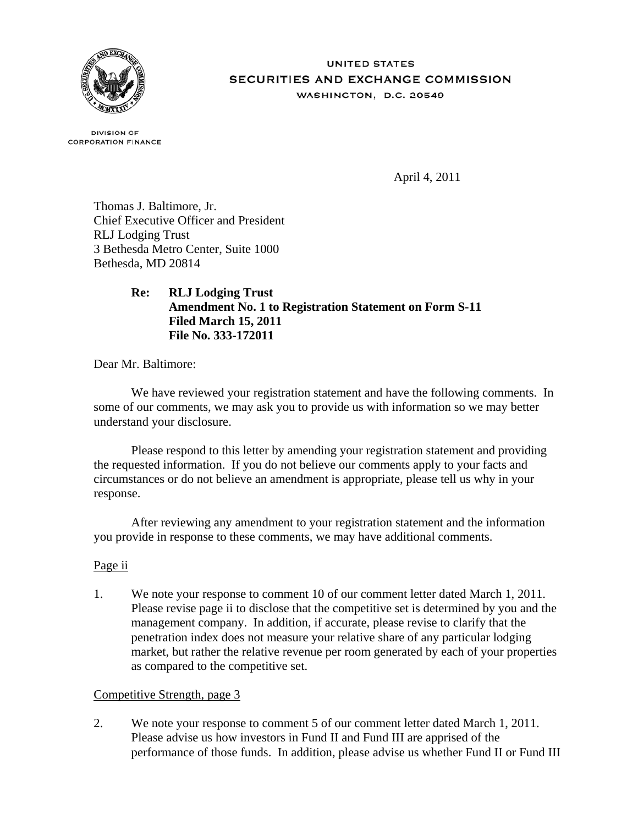

#### **UNITED STATES** SECURITIES AND EXCHANGE COMMISSION WASHINGTON, D.C. 20549

**DIVISION OF CORPORATION FINANCE** 

April 4, 2011

Thomas J. Baltimore, Jr. Chief Executive Officer and President RLJ Lodging Trust 3 Bethesda Metro Center, Suite 1000 Bethesda, MD 20814

# **Re: RLJ Lodging Trust Amendment No. 1 to Registration Statement on Form S-11 Filed March 15, 2011 File No. 333-172011**

Dear Mr. Baltimore:

We have reviewed your registration statement and have the following comments. In some of our comments, we may ask you to provide us with information so we may better understand your disclosure.

Please respond to this letter by amending your registration statement and providing the requested information. If you do not believe our comments apply to your facts and circumstances or do not believe an amendment is appropriate, please tell us why in your response.

After reviewing any amendment to your registration statement and the information you provide in response to these comments, we may have additional comments.

## Page ii

1. We note your response to comment 10 of our comment letter dated March 1, 2011. Please revise page ii to disclose that the competitive set is determined by you and the management company. In addition, if accurate, please revise to clarify that the penetration index does not measure your relative share of any particular lodging market, but rather the relative revenue per room generated by each of your properties as compared to the competitive set.

## Competitive Strength, page 3

2. We note your response to comment 5 of our comment letter dated March 1, 2011. Please advise us how investors in Fund II and Fund III are apprised of the performance of those funds. In addition, please advise us whether Fund II or Fund III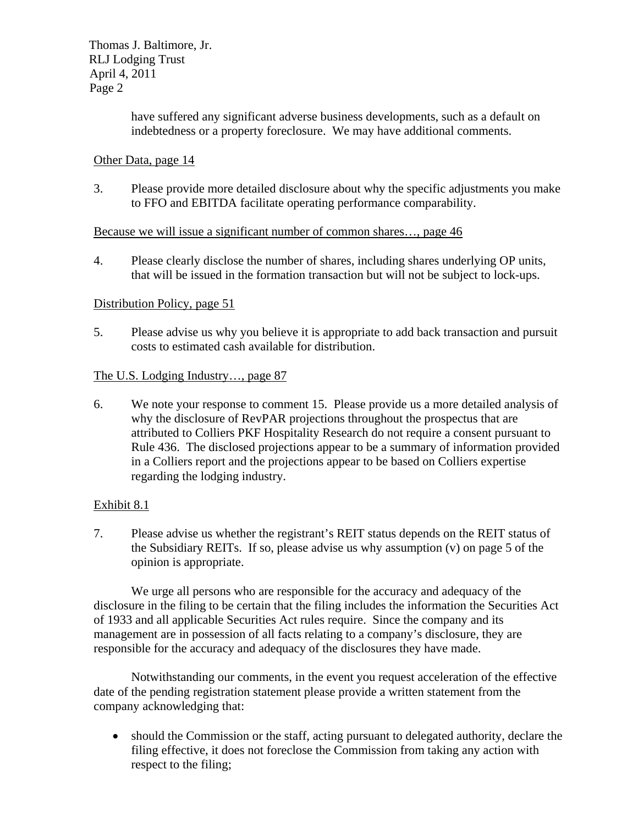Thomas J. Baltimore, Jr. RLJ Lodging Trust April 4, 2011 Page 2

> have suffered any significant adverse business developments, such as a default on indebtedness or a property foreclosure. We may have additional comments.

## Other Data, page 14

3. Please provide more detailed disclosure about why the specific adjustments you make to FFO and EBITDA facilitate operating performance comparability.

#### Because we will issue a significant number of common shares…, page 46

4. Please clearly disclose the number of shares, including shares underlying OP units, that will be issued in the formation transaction but will not be subject to lock-ups.

## Distribution Policy, page 51

5. Please advise us why you believe it is appropriate to add back transaction and pursuit costs to estimated cash available for distribution.

#### The U.S. Lodging Industry..., page 87

6. We note your response to comment 15. Please provide us a more detailed analysis of why the disclosure of RevPAR projections throughout the prospectus that are attributed to Colliers PKF Hospitality Research do not require a consent pursuant to Rule 436. The disclosed projections appear to be a summary of information provided in a Colliers report and the projections appear to be based on Colliers expertise regarding the lodging industry.

## Exhibit 8.1

7. Please advise us whether the registrant's REIT status depends on the REIT status of the Subsidiary REITs. If so, please advise us why assumption (v) on page 5 of the opinion is appropriate.

We urge all persons who are responsible for the accuracy and adequacy of the disclosure in the filing to be certain that the filing includes the information the Securities Act of 1933 and all applicable Securities Act rules require. Since the company and its management are in possession of all facts relating to a company's disclosure, they are responsible for the accuracy and adequacy of the disclosures they have made.

Notwithstanding our comments, in the event you request acceleration of the effective date of the pending registration statement please provide a written statement from the company acknowledging that:

 should the Commission or the staff, acting pursuant to delegated authority, declare the filing effective, it does not foreclose the Commission from taking any action with respect to the filing;